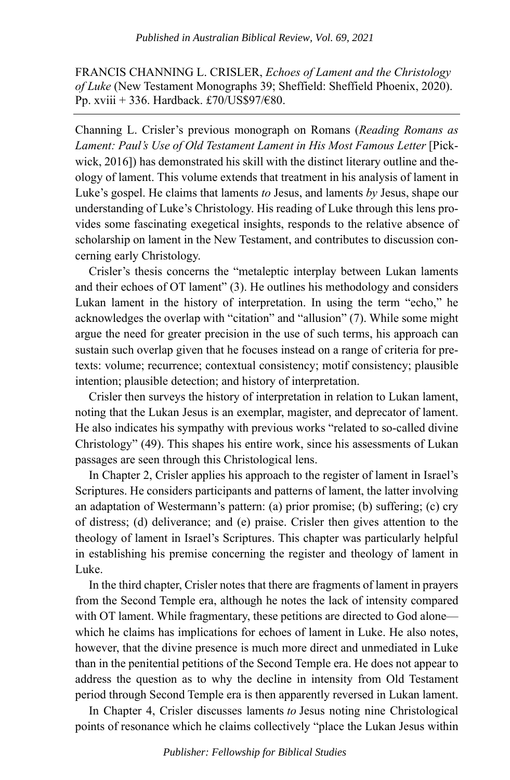FRANCIS CHANNING L. CRISLER, *Echoes of Lament and the Christology of Luke* (New Testament Monographs 39; Sheffield: Sheffield Phoenix, 2020). Pp. xviii + 336. Hardback. £70/US\$97/€80.

Channing L. Crisler's previous monograph on Romans (*Reading Romans as Lament: Paul's Use of Old Testament Lament in His Most Famous Letter* [Pickwick, 2016]) has demonstrated his skill with the distinct literary outline and theology of lament. This volume extends that treatment in his analysis of lament in Luke's gospel. He claims that laments *to* Jesus, and laments *by* Jesus, shape our understanding of Luke's Christology. His reading of Luke through this lens provides some fascinating exegetical insights, responds to the relative absence of scholarship on lament in the New Testament, and contributes to discussion concerning early Christology.

Crisler's thesis concerns the "metaleptic interplay between Lukan laments and their echoes of OT lament" (3). He outlines his methodology and considers Lukan lament in the history of interpretation. In using the term "echo," he acknowledges the overlap with "citation" and "allusion" (7). While some might argue the need for greater precision in the use of such terms, his approach can sustain such overlap given that he focuses instead on a range of criteria for pretexts: volume; recurrence; contextual consistency; motif consistency; plausible intention; plausible detection; and history of interpretation.

Crisler then surveys the history of interpretation in relation to Lukan lament, noting that the Lukan Jesus is an exemplar, magister, and deprecator of lament. He also indicates his sympathy with previous works "related to so-called divine Christology" (49). This shapes his entire work, since his assessments of Lukan passages are seen through this Christological lens.

In Chapter 2, Crisler applies his approach to the register of lament in Israel's Scriptures. He considers participants and patterns of lament, the latter involving an adaptation of Westermann's pattern: (a) prior promise; (b) suffering; (c) cry of distress; (d) deliverance; and (e) praise. Crisler then gives attention to the theology of lament in Israel's Scriptures. This chapter was particularly helpful in establishing his premise concerning the register and theology of lament in Luke.

In the third chapter, Crisler notes that there are fragments of lament in prayers from the Second Temple era, although he notes the lack of intensity compared with OT lament. While fragmentary, these petitions are directed to God alone which he claims has implications for echoes of lament in Luke. He also notes, however, that the divine presence is much more direct and unmediated in Luke than in the penitential petitions of the Second Temple era. He does not appear to address the question as to why the decline in intensity from Old Testament period through Second Temple era is then apparently reversed in Lukan lament.

In Chapter 4, Crisler discusses laments *to* Jesus noting nine Christological points of resonance which he claims collectively "place the Lukan Jesus within